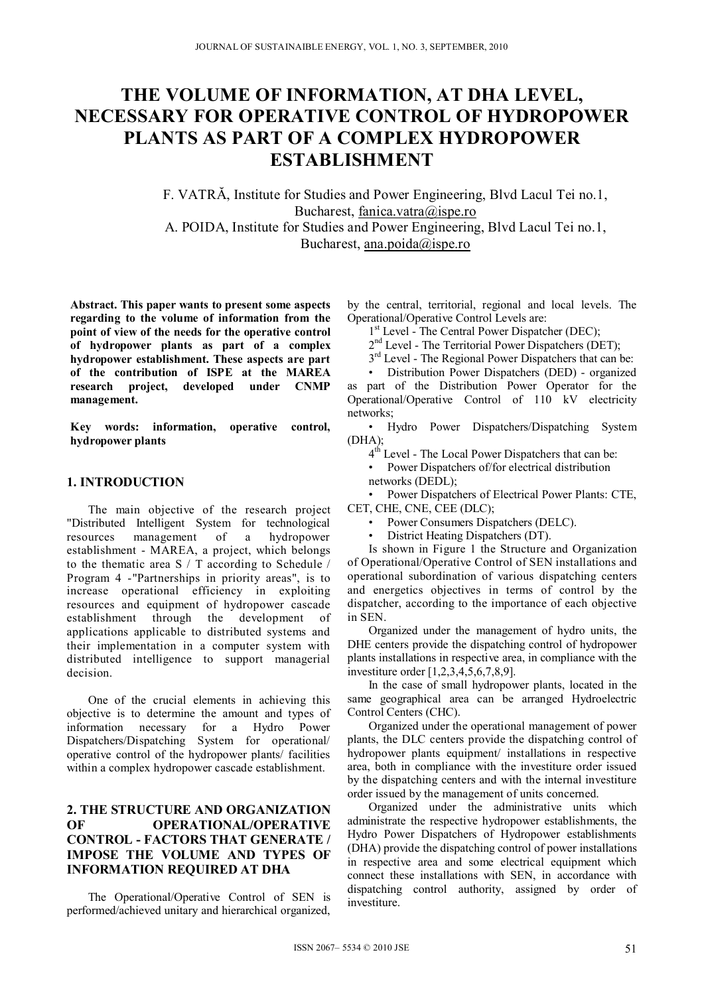# **THE VOLUME OF INFORMATION, AT DHA LEVEL, NECESSARY FOR OPERATIVE CONTROL OF HYDROPOWER PLANTS AS PART OF A COMPLEX HYDROPOWER ESTABLISHMENT**

F. VATRĂ, Institute for Studies and Power Engineering, Blvd Lacul Tei no.1, Bucharest, fanica.vatra@ispe.ro A. POIDA, Institute for Studies and Power Engineering, Blvd Lacul Tei no.1, Bucharest, ana.poida@ispe.ro

**Abstract. This paper wants to present some aspects regarding to the volume of information from the point of view of the needs for the operative control of hydropower plants as part of a complex hydropower establishment. These aspects are part of the contribution of ISPE at the MAREA research project, developed under CNMP management.** 

**Key words: information, operative control, hydropower plants** 

## **1. INTRODUCTION**

The main objective of the research project "Distributed Intelligent System for technological resources management of a hydropower establishment - MAREA, a project, which belongs to the thematic area S / T according to Schedule / Program 4 -"Partnerships in priority areas", is to increase operational efficiency in exploiting resources and equipment of hydropower cascade establishment through the development of applications applicable to distributed systems and their implementation in a computer system with distributed intelligence to support managerial decision.

One of the crucial elements in achieving this objective is to determine the amount and types of information necessary for a Hydro Power Dispatchers/Dispatching System for operational/ operative control of the hydropower plants/ facilities within a complex hydropower cascade establishment.

## **2. THE STRUCTURE AND ORGANIZATION OF OPERATIONAL/OPERATIVE CONTROL - FACTORS THAT GENERATE / IMPOSE THE VOLUME AND TYPES OF INFORMATION REQUIRED AT DHA**

The Operational/Operative Control of SEN is performed/achieved unitary and hierarchical organized, by the central, territorial, regional and local levels. The Operational/Operative Control Levels are:

1<sup>st</sup> Level - The Central Power Dispatcher (DEC):

2<sup>nd</sup> Level - The Territorial Power Dispatchers (DET);

 $3<sup>rd</sup>$  Level - The Regional Power Dispatchers that can be:

• Distribution Power Dispatchers (DED) - organized as part of the Distribution Power Operator for the Operational/Operative Control of 110 kV electricity networks;

• Hydro Power Dispatchers/Dispatching System (DHA);

4<sup>th</sup> Level - The Local Power Dispatchers that can be:

• Power Dispatchers of/for electrical distribution networks (DEDL);

• Power Dispatchers of Electrical Power Plants: CTE, CET, CHE, CNE, CEE (DLC);

- Power Consumers Dispatchers (DELC).
- District Heating Dispatchers (DT).

Is shown in Figure 1 the Structure and Organization of Operational/Operative Control of SEN installations and operational subordination of various dispatching centers and energetics objectives in terms of control by the dispatcher, according to the importance of each objective in SEN.

Organized under the management of hydro units, the DHE centers provide the dispatching control of hydropower plants installations in respective area, in compliance with the investiture order [1,2,3,4,5,6,7,8,9].

In the case of small hydropower plants, located in the same geographical area can be arranged Hydroelectric Control Centers (CHC).

Organized under the operational management of power plants, the DLC centers provide the dispatching control of hydropower plants equipment/ installations in respective area, both in compliance with the investiture order issued by the dispatching centers and with the internal investiture order issued by the management of units concerned.

Organized under the administrative units which administrate the respective hydropower establishments, the Hydro Power Dispatchers of Hydropower establishments (DHA) provide the dispatching control of power installations in respective area and some electrical equipment which connect these installations with SEN, in accordance with dispatching control authority, assigned by order of investiture.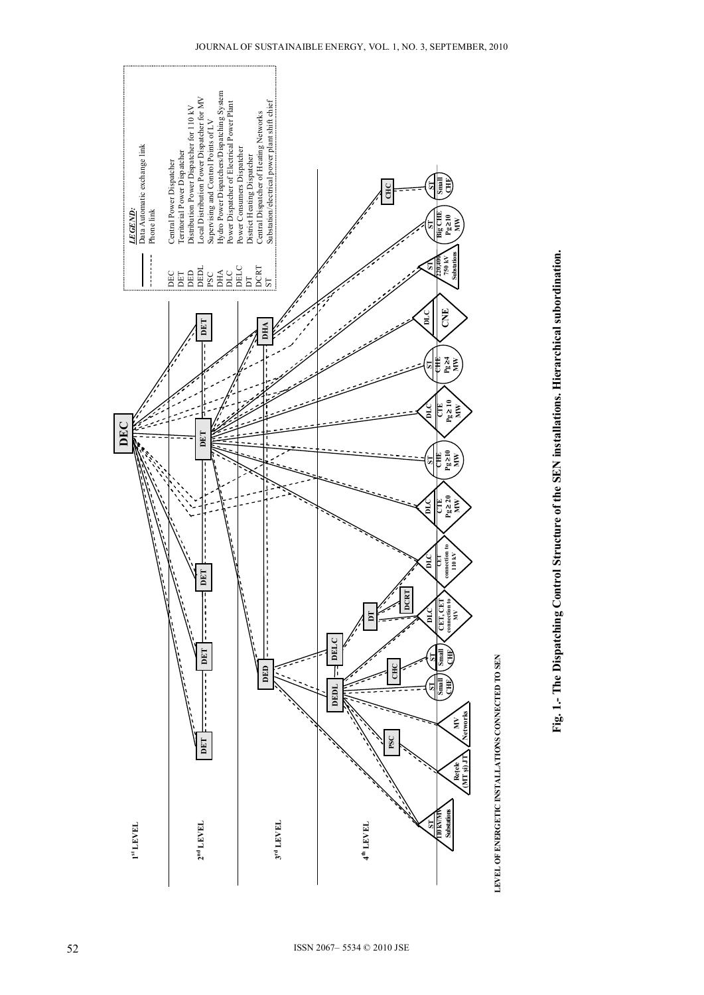

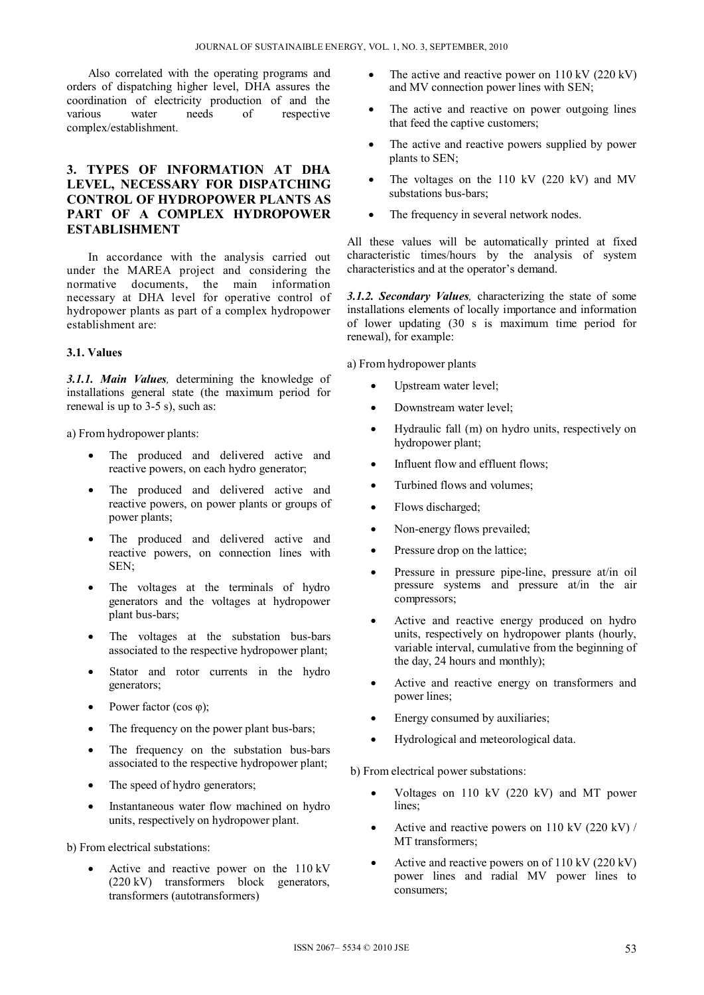Also correlated with the operating programs and orders of dispatching higher level, DHA assures the coordination of electricity production of and the respective complex/establishment.

# **3. TYPES OF INFORMATION AT DHA LEVEL, NECESSARY FOR DISPATCHING CONTROL OF HYDROPOWER PLANTS AS PART OF A COMPLEX HYDROPOWER ESTABLISHMENT**

In accordance with the analysis carried out under the MAREA project and considering the normative documents, the main information necessary at DHA level for operative control of hydropower plants as part of a complex hydropower establishment are:

#### **3.1. Values**

*3.1.1. Main Values,* determining the knowledge of installations general state (the maximum period for renewal is up to 3-5 s), such as:

a) From hydropower plants:

- The produced and delivered active and reactive powers, on each hydro generator;
- The produced and delivered active and reactive powers, on power plants or groups of power plants;
- The produced and delivered active and reactive powers, on connection lines with SEN;
- The voltages at the terminals of hydro generators and the voltages at hydropower plant bus-bars;
- The voltages at the substation bus-bars associated to the respective hydropower plant;
- Stator and rotor currents in the hydro generators;
- Power factor (cos φ);
- The frequency on the power plant bus-bars;
- The frequency on the substation bus-bars associated to the respective hydropower plant;
- The speed of hydro generators;
- Instantaneous water flow machined on hydro units, respectively on hydropower plant.

b) From electrical substations:

 Active and reactive power on the 110 kV (220 kV) transformers block generators, transformers (autotransformers)

- The active and reactive power on  $110 \text{ kV}$  (220 kV) and MV connection power lines with SEN;
- The active and reactive on power outgoing lines that feed the captive customers;
- The active and reactive powers supplied by power plants to SEN;
- The voltages on the 110 kV (220 kV) and MV substations bus-bars;
- The frequency in several network nodes.

All these values will be automatically printed at fixed characteristic times/hours by the analysis of system characteristics and at the operator's demand.

*3.1.2. Secondary Values,* characterizing the state of some installations elements of locally importance and information of lower updating (30 s is maximum time period for renewal), for example:

a) From hydropower plants

- Upstream water level;
- Downstream water level;
- Hydraulic fall (m) on hydro units, respectively on hydropower plant;
- Influent flow and effluent flows;
- Turbined flows and volumes;
- Flows discharged;
- Non-energy flows prevailed;
- Pressure drop on the lattice;
- Pressure in pressure pipe-line, pressure at/in oil pressure systems and pressure at/in the air compressors;
- Active and reactive energy produced on hydro units, respectively on hydropower plants (hourly, variable interval, cumulative from the beginning of the day, 24 hours and monthly);
- Active and reactive energy on transformers and power lines;
- Energy consumed by auxiliaries;
- Hydrological and meteorological data.

b) From electrical power substations:

- Voltages on 110 kV (220 kV) and MT power lines;
- Active and reactive powers on 110 kV  $(220 \text{ kV})/$ MT transformers;
- Active and reactive powers on of  $110 \text{ kV}$  (220 kV) power lines and radial MV power lines to consumers;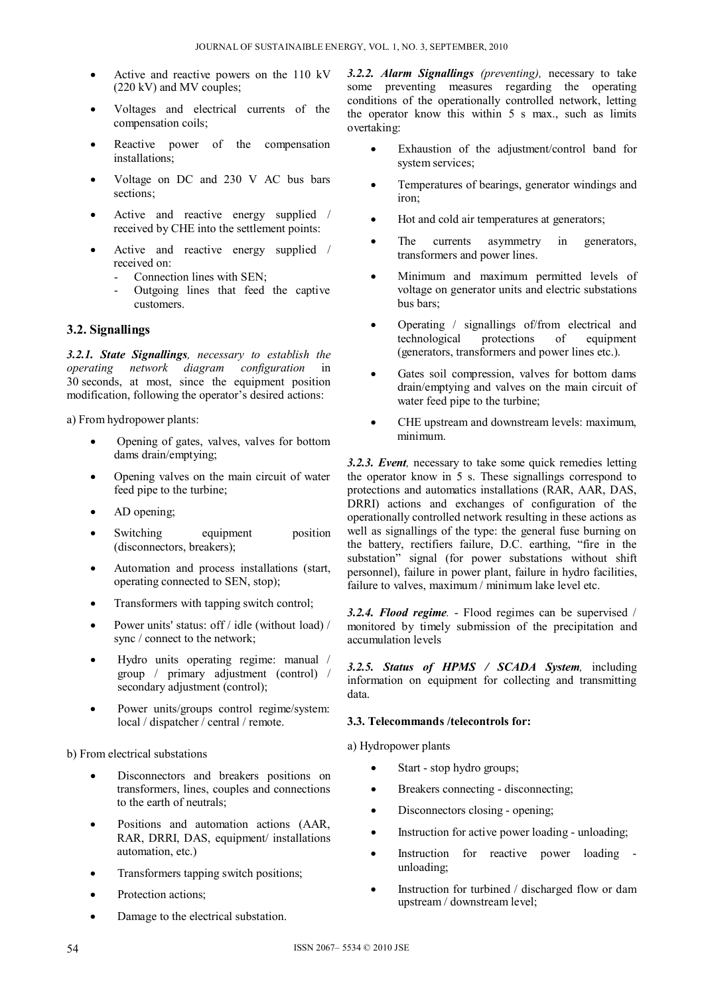- Active and reactive powers on the 110 kV (220 kV) and MV couples;
- Voltages and electrical currents of the compensation coils;
- Reactive power of the compensation installations;
- Voltage on DC and 230 V AC bus bars sections:
- Active and reactive energy supplied / received by CHE into the settlement points:
- Active and reactive energy supplied / received on:
	- Connection lines with SEN;
	- Outgoing lines that feed the captive customers.

## **3.2. Signallings**

*3.2.1. State Signallings, necessary to establish the operating network diagram configuration* in 30 seconds, at most, since the equipment position modification, following the operator's desired actions:

a) From hydropower plants:

- Opening of gates, valves, valves for bottom dams drain/emptying;
- Opening valves on the main circuit of water feed pipe to the turbine;
- AD opening;
- Switching equipment position (disconnectors, breakers);
- Automation and process installations (start, operating connected to SEN, stop);
- Transformers with tapping switch control;
- Power units' status: off / idle (without load) / sync / connect to the network;
- Hydro units operating regime: manual / group / primary adjustment (control) / secondary adjustment (control);
- Power units/groups control regime/system: local / dispatcher / central / remote.

b) From electrical substations

- Disconnectors and breakers positions on transformers, lines, couples and connections to the earth of neutrals;
- Positions and automation actions (AAR, RAR, DRRI, DAS, equipment/ installations automation, etc.)
- Transformers tapping switch positions;
- Protection actions;
- Damage to the electrical substation.

*3.2.2. Alarm Signallings (preventing),* necessary to take some preventing measures regarding the operating conditions of the operationally controlled network, letting the operator know this within 5 s max., such as limits overtaking:

- Exhaustion of the adjustment/control band for system services;
- Temperatures of bearings, generator windings and iron;
- Hot and cold air temperatures at generators;
- The currents asymmetry in generators, transformers and power lines.
- Minimum and maximum permitted levels of voltage on generator units and electric substations bus bars;
- Operating / signallings of/from electrical and technological protections of equipment (generators, transformers and power lines etc.).
- Gates soil compression, valves for bottom dams drain/emptying and valves on the main circuit of water feed pipe to the turbine;
- CHE upstream and downstream levels: maximum, minimum.

*3.2.3. Event,* necessary to take some quick remedies letting the operator know in 5 s. These signallings correspond to protections and automatics installations (RAR, AAR, DAS, DRRI) actions and exchanges of configuration of the operationally controlled network resulting in these actions as well as signallings of the type: the general fuse burning on the battery, rectifiers failure, D.C. earthing, "fire in the substation" signal (for power substations without shift personnel), failure in power plant, failure in hydro facilities, failure to valves, maximum / minimum lake level etc.

*3.2.4. Flood regime.* - Flood regimes can be supervised / monitored by timely submission of the precipitation and accumulation levels

*3.2.5. Status of HPMS / SCADA System,* including information on equipment for collecting and transmitting data.

#### **3.3. Telecommands /telecontrols for:**

a) Hydropower plants

- Start stop hydro groups;
- Breakers connecting disconnecting;
- Disconnectors closing opening;
- Instruction for active power loading unloading;
- Instruction for reactive power loading unloading;
- Instruction for turbined / discharged flow or dam upstream / downstream level;